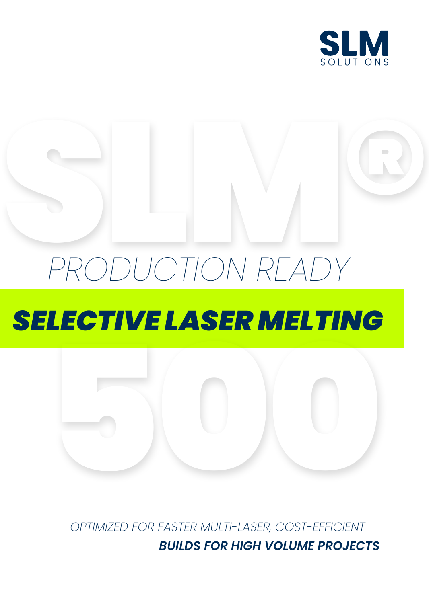

# RODUCTION READY *PRODUCTION READY SELECTIVE LASER MELTING*



*OPTIMIZED FOR FASTER MULTI-LASER, COST-EFFICIENT BUILDS FOR HIGH VOLUME PROJECTS*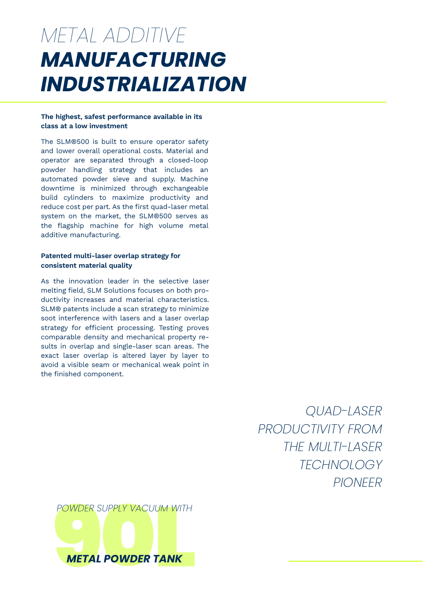### *MANUFACTURING INDUSTRIALIZATION METAL ADDITIVE*

#### **The highest, safest performance available in its class at a low investment**

The SLM®500 is built to ensure operator safety and lower overall operational costs. Material and operator are separated through a closed-loop powder handling strategy that includes an automated powder sieve and supply. Machine downtime is minimized through exchangeable build cylinders to maximize productivity and reduce cost per part. As the first quad-laser metal system on the market, the SLM®500 serves as the flagship machine for high volume metal additive manufacturing.

### **Patented multi-laser overlap strategy for consistent material quality**

As the innovation leader in the selective laser melting field, SLM Solutions focuses on both productivity increases and material characteristics. SLM® patents include a scan strategy to minimize soot interference with lasers and a laser overlap strategy for efficient processing. Testing proves comparable density and mechanical property results in overlap and single-laser scan areas. The exact laser overlap is altered layer by layer to avoid a visible seam or mechanical weak point in the finished component.

> *QUAD-LASER PRODUCTIVITY FROM THE MULTI-LASER TECHNOLOGY PIONEER*

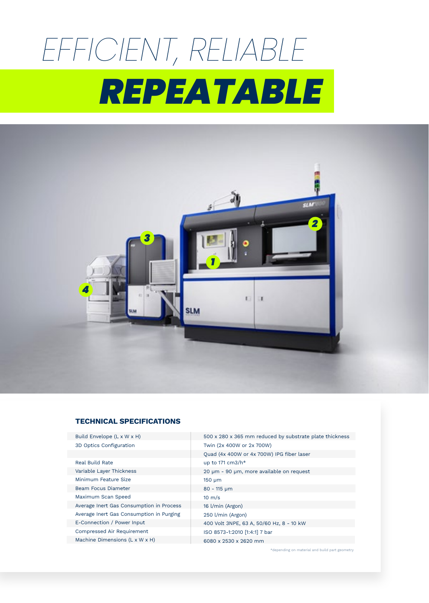# *EFFICIENT, RELIABLE REPEATABLE*



### **TECHNICAL SPECIFICATIONS**

Build Envelope (L x W x H)

3D Optics Configuration Real Build Rate Variable Layer Thickness Minimum Feature Size Beam Focus Diameter Maximum Scan Speed Average Inert Gas Consumption in Process Average Inert Gas Consumption in Purging E-Connection / Power Input Compressed Air Requirement Machine Dimensions (L x W x H)

500 x 280 x 365 mm reduced by substrate plate thickness Twin (2x 400W or 2x 700W) Quad (4x 400W or 4x 700W) IPG fiber laser up to 171 cm3/h\* 20 μm - 90 μm, more available on request 150 μm 80 - 115 μm 10 m/s 16 l/min (Argon) 250 l/min (Argon) 400 Volt 3NPE, 63 A, 50/60 Hz, 8 - 10 kW ISO 8573-1:2010 [1:4:1] 7 bar 6080 x 2530 x 2620 mm

\*depending on material and build part geometry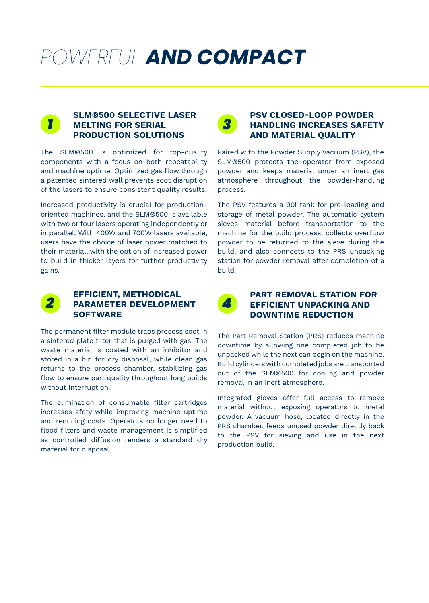### *POWERFUL AND COMPACT*



### **SLM®500 SELECTIVE LASER MELTING FOR SERIAL PRODUCTION SOLUTIONS**

The SLM®500 is optimized for top-quality components with a focus on both repeatability and machine uptime. Optimized gas flow through a patented sintered wall prevents soot disruption of the lasers to ensure consistent quality results.

Increased productivity is crucial for productionoriented machines, and the SLM®500 is available with two or four lasers operating independently or in parallel. With 400W and 700W lasers available, users have the choice of laser power matched to their material, with the option of increased power to build in thicker layers for further productivity gains.



### **PSV CLOSED-LOOP POWDER HANDLING INCREASES SAFETY AND MATERIAL QUALITY**

Paired with the Powder Supply Vacuum (PSV), the SLM®500 protects the operator from exposed powder and keeps material under an inert gas atmosphere throughout the powder-handling process.

The PSV features a 90l tank for pre-loading and storage of metal powder. The automatic system sieves material before transportation to the machine for the build process, collects overflow powder to be returned to the sieve during the build, and also connects to the PRS unpacking station for powder removal after completion of a build.



### **EFFICIENT, METHODICAL PARAMETER DEVELOPMENT SOFTWARE**

The permanent filter module traps process soot in a sintered plate filter that is purged with gas. The waste material is coated with an inhibitor and stored in a bin for dry disposal, while clean gas returns to the process chamber, stabilizing gas flow to ensure part quality throughout long builds without interruption.

The elimination of consumable filter cartridges increases afety while improving machine uptime and reducing costs. Operators no longer need to flood filters and waste management is simplified as controlled diffusion renders a standard dry material for disposal.



### **PART REMOVAL STATION FOR EFFICIENT UNPACKING AND DOWNTIME REDUCTION**

The Part Removal Station (PRS) reduces machine downtime by allowing one completed job to be unpacked while the next can begin on the machine. Build cylinders with completed jobs are transported out of the SLM®500 for cooling and powder removal in an inert atmosphere.

Integrated gloves offer full access to remove material without exposing operators to metal powder. A vacuum hose, located directly in the PRS chamber, feeds unused powder directly back to the PSV for sieving and use in the next production build.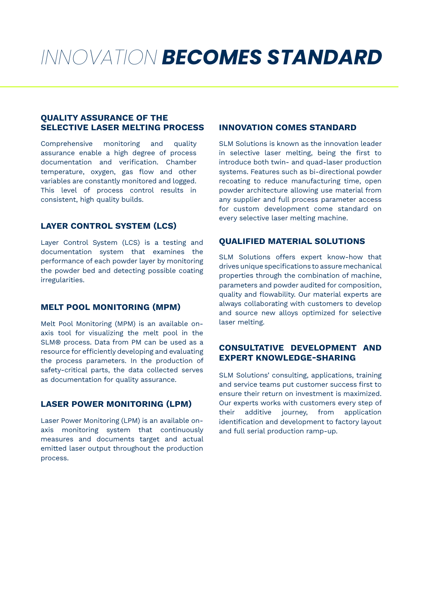### *INNOVATION BECOMES STANDARD*

### **QUALITY ASSURANCE OF THE SELECTIVE LASER MELTING PROCESS INNOVATION COMES STANDARD**

Comprehensive monitoring and quality assurance enable a high degree of process documentation and verification. Chamber temperature, oxygen, gas flow and other variables are constantly monitored and logged. This level of process control results in consistent, high quality builds.

### **LAYER CONTROL SYSTEM (LCS)**

Layer Control System (LCS) is a testing and documentation system that examines the performance of each powder layer by monitoring the powder bed and detecting possible coating irregularities.

#### **MELT POOL MONITORING (MPM)**

Melt Pool Monitoring (MPM) is an available onaxis tool for visualizing the melt pool in the SLM® process. Data from PM can be used as a resource for efficiently developing and evaluating the process parameters. In the production of safety-critical parts, the data collected serves as documentation for quality assurance.

### **LASER POWER MONITORING (LPM)**

Laser Power Monitoring (LPM) is an available onaxis monitoring system that continuously measures and documents target and actual emitted laser output throughout the production process.

SLM Solutions is known as the innovation leader in selective laser melting, being the first to introduce both twin- and quad-laser production systems. Features such as bi-directional powder recoating to reduce manufacturing time, open powder architecture allowing use material from any supplier and full process parameter access for custom development come standard on every selective laser melting machine.

### **QUALIFIED MATERIAL SOLUTIONS**

SLM Solutions offers expert know-how that drives unique specifications to assure mechanical properties through the combination of machine, parameters and powder audited for composition, quality and flowability. Our material experts are always collaborating with customers to develop and source new alloys optimized for selective laser melting.

### **CONSULTATIVE DEVELOPMENT AND EXPERT KNOWLEDGE-SHARING**

SLM Solutions' consulting, applications, training and service teams put customer success first to ensure their return on investment is maximized. Our experts works with customers every step of their additive journey, from application identification and development to factory layout and full serial production ramp-up.